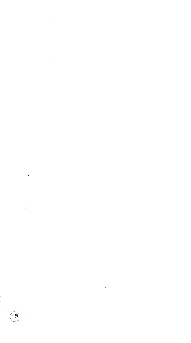$\mathcal{L}^{\text{max}}_{\text{max}}$  $\mathcal{L}^{\text{max}}_{\text{max}}$  , where  $\mathcal{L}^{\text{max}}_{\text{max}}$  $\mathcal{L}(\mathcal{L})$  and  $\mathcal{L}(\mathcal{L})$  $\ddot{\phantom{0}}$  $\mathcal{L}_{\text{max}}$  .  $\sim 10^{-11}$  $\mathcal{L}^{\text{max}}_{\text{max}}$  ,  $\mathcal{L}^{\text{max}}_{\text{max}}$  $\left( \begin{array}{c} \mathbf{e} \end{array} \right)$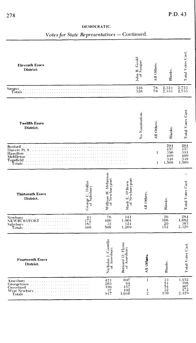| <b>Eleventh Essex</b><br>District.<br>Saugus            | .                                                                                                                                                                 |                                                               |                                   | John B. Gould<br>of Saugus<br>$\frac{326}{326}$ | All Others.<br>$^{76}_{76}$ | Blanks.<br>$2,331$<br>$2,331$             | Total Votes Cast.<br>$\frac{2,733}{2,733}$                                  |
|---------------------------------------------------------|-------------------------------------------------------------------------------------------------------------------------------------------------------------------|---------------------------------------------------------------|-----------------------------------|-------------------------------------------------|-----------------------------|-------------------------------------------|-----------------------------------------------------------------------------|
| Totals.<br>.<br><b>Twelfth Essex</b><br>District.       |                                                                                                                                                                   |                                                               |                                   | <b>No Nomination.</b>                           | All Others.                 | Blanks.                                   | Total Votes Cast.                                                           |
| Boxford<br>Middleton                                    | 204<br>$\frac{204}{157}$<br>391<br>and the company of the company of<br>157<br>390<br>$\mathbf{l}$<br>409<br>409<br>348<br>348<br>1,509<br>$\bf{l}$<br>1,508<br>٠ |                                                               |                                   |                                                 |                             |                                           |                                                                             |
| <b>Thirteenth Essex</b><br>District.                    | George C. Dollas<br>of Salisbury                                                                                                                                  | William H. Melanson<br>of Newburyport                         | Mark E. O'Brien<br>of Newburyport | All Others.                                     |                             | Blanks,                                   | Total Votes Cast.                                                           |
| Newbury<br>NEWBURYPORT<br>.<br>Salisbury<br>Totals<br>. | $\frac{11}{172}$<br>$\frac{187}{187}$<br>400                                                                                                                      | 76<br>400<br>32<br>508                                        | 141<br>1,004<br>124<br>1,269      |                                                 |                             | $\frac{26}{106}$<br>$\frac{20}{152}$      | $\begin{array}{r} 284 \\ 1,682 \\ 363 \\ 2,329 \end{array}$                 |
| <b>Fourteenth Essex</b><br>District.                    |                                                                                                                                                                   | Nicholas J. Costello<br>of Amesbury                           | Bernard D. Flynn<br>of Amesbury   | All Others.                                     |                             | Blanks.                                   | Total Votes Cast.                                                           |
| Amesbury<br>Groveland<br>Totals                         |                                                                                                                                                                   | $\begin{array}{c} 421 \\ 263 \end{array}$<br>196<br>37<br>917 | 697<br>84<br>157<br>102<br>1,040  | $\bf{l}$<br>$\frac{1}{2}$                       |                             | $\frac{33}{51}$<br>$\frac{54}{32}$<br>170 | $\begin{array}{r} \n 1,152 \\  398 \\  +07 \\  172 \\  2,129\n \end{array}$ |

# Votesfor State Representatives — Continued.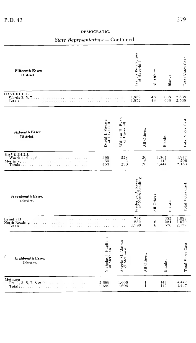| <b>Fifteenth Essex</b><br>District.                                                                                            |                                    |                                 | Francis Bevilacqua<br>of Haverhill     | All Others. | Blanks.                                          | Total Votes Cast.              |
|--------------------------------------------------------------------------------------------------------------------------------|------------------------------------|---------------------------------|----------------------------------------|-------------|--------------------------------------------------|--------------------------------|
| <b>HAVERHILL</b><br>Wards 3, 5, 7<br>a a sua a a a a fra a cristir                                                             |                                    |                                 | $^{1,852}_{1,852}$                     | 48<br>48    | $\begin{array}{c} 638 \\ 638 \end{array}$        | 2,538<br>2,538                 |
| <b>Sixteenth Essex</b><br>District.                                                                                            | David J. Swartz<br>of Haverhill    | William H. Ryan<br>of Haverhill | All Others.                            |             | Blanks.                                          | Total Votes Cast.              |
| <b>HAVERHILL</b><br>Wards 1, 2, 4, $6$<br>The second contracts<br>Merrimae (1998)<br>Totals (1998)<br>in a share and the state | 398<br>55<br>453                   | 228<br>$\mathbf{2}$<br>230      | $20\,$<br>6<br>26                      |             | 1,301<br>143<br>1,444                            | $\frac{1,947}{206}$<br>2,153   |
| <b>Seventeenth Essex</b><br>District.                                                                                          |                                    |                                 | Frederick A. Keyes<br>of North Reading | All Others. | Blanks.                                          | Total Votes Cast.              |
| Lynnfield<br>.<br>North Reading                                                                                                |                                    |                                 | 738<br>852<br>1,590                    | 6<br>6      | 355<br>$\begin{array}{c} 221 \\ 576 \end{array}$ | $\frac{1,093}{1,079}$<br>2,172 |
| $\prime$<br><b>Eighteenth Essex</b><br>District.                                                                               | Nicholas J. Buglione<br>of Methuen | Angelo M. Alaimo<br>of Methuen  | All Others.                            |             | Blanks.                                          | Total Votes Cast.              |
| Methuen<br>Pts. 1, 3, 5, 7, 8 & 9.<br>$\sim$<br>$Totals$<br>÷.                                                                 | 2,699<br>2,699                     | 1,606<br>1,606                  | $\frac{1}{1}$                          |             | 141<br>141                                       | 4,447<br>4,447                 |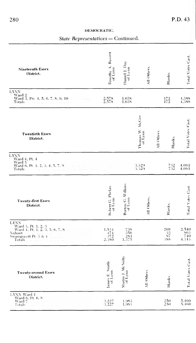| <b>Nineteenth Essex</b><br>District.                                                                                                                                                                                                  | Timothy A. Bassett<br>of Lynn                                                                   | Daniel J. Day<br>of Lynn                                  | All Others.                |            | Blanks.                       | Total Votes Cast.                   |
|---------------------------------------------------------------------------------------------------------------------------------------------------------------------------------------------------------------------------------------|-------------------------------------------------------------------------------------------------|-----------------------------------------------------------|----------------------------|------------|-------------------------------|-------------------------------------|
| LYNN<br>Ward 2<br>Ward 3, Pts. 4, 5, 6, 7, 8, 9, 10<br>The Common<br>Totals                                                                                                                                                           | $\frac{2,578}{2,578}$                                                                           | 1,638<br>1,638                                            |                            |            | $^{172}_{172}$                | 4,388<br>4,388                      |
| <b>Twentieth Essex</b><br>District.                                                                                                                                                                                                   |                                                                                                 |                                                           | Thomas W. McGee<br>of Lynn | All Others | Blanks.                       | Total Votes Cast.                   |
| LYNN<br>Ward 4, Pt. 4<br>Ward 5<br>Ward 6, Pt. 1, 2, 3, 4, 5, 7, 9<br>Totals                                                                                                                                                          |                                                                                                 |                                                           | 3,329<br>3,329             |            | $732$<br>$732$                | $\substack{4,061\\4,061}$           |
| <b>Twenty-first Essex</b><br>District.                                                                                                                                                                                                | Robert G. Phelan<br>of Lynn                                                                     | Burton G. Wilkins<br>of Lynn                              | All Others.                |            | Blanks.                       | Total Votes Cast.                   |
| <b>LYNN</b><br>Ward 3, Pt. 1, 2, 3<br>Ward 4, Pt. 1, 2, 3, 5, 6, 7, 8<br>Nahant.<br>$\frac{1}{2}$ , $\frac{1}{2}$ , $\frac{1}{2}$ , $\frac{1}{2}$ , $\frac{1}{2}$<br>Swampscott Pt. $3 \times 4$<br>Totals<br>$\omega$ . The $\omega$ | $\begin{array}{r} 1.534 \\ \begin{array}{c} 474 \\ \text{372} \\ 2.380 \end{array} \end{array}$ | $\begin{array}{r} 738 \\ 356 \\ 281 \\ 1,375 \end{array}$ |                            |            | 268<br>$\frac{33}{87}$<br>388 | 2,540<br>$\frac{863}{740}$<br>4,143 |
| <b>Twenty-second Essex</b><br>District.                                                                                                                                                                                               | James E. Smith<br>of Lynn                                                                       | Martin J. McNulty<br>of Lynn                              | All Others.                |            | Blanks.                       | <b>Total Votes Cast.</b>            |
| LYNN Ward 1<br>Ward 6, Pt. 6, 8<br>Ward 7<br>Totals<br>ò,<br>$\lambda$<br>$\mathcal{F}$                                                                                                                                               | $3,227$<br>$3,227$                                                                              | 1,983<br>1,983                                            |                            |            | 250<br>$\bar{2}50$            | 5,460<br>5,460                      |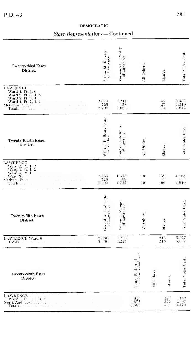#### Veronica C. Dooley<br>of Lawence Arthur M. Khourv Total Votes Cast. of Lawrence All Others. Twenty-third Essex District. Blanks. LAWRENCE<br>
Ward 1, Pt. 4, 6<br>
Ward 2, Pt. 3, 4, 5<br>
Ward 4, Pt. 3, 4<br>
Methuen Pt. 2, 6<br>
Methuen Pt. 2, 6  $\frac{2,074}{725}$ <br>2,799  $\begin{array}{c} 3,432 \\ 1,210 \\ 4,642 \end{array}$  $\frac{1,211}{458}$ <br>1,669  $\frac{147}{27}$ <br> $\frac{27}{174}$ Totals Wilfred P. Beauchesne<br>of Methuen Louis Ilebbelinck<br>of Lawrence Total Votes Cast. All Others. **Twenty-fourth Essex** District. Blanks. LAWRENCE<br>Ward 2, Pt. 1, 2<br>Ward 3, Pt. 1, 2<br>Ward 4, Pt. 1<br>Ward 5,  $\frac{2,266}{526}$ <br> $2,792$  $\begin{array}{r} 359 \\ \textcolor{red}{\textbf{47}} \\ \textcolor{red}{\textbf{406}} \end{array}$  $\frac{4.168}{7.72}$ <br> $4.940$ 1,533 10 Methuen Pt. 4  $\frac{199}{1,732}$  $10$ Totals Gerard A, Guilmette<br>of Lawrence Dennis J. Mungo Total Votes Cast. of Lawrence All Others. Twenty-fifth Essex Blanks. District.  $\frac{5,327}{5,327}$  $\frac{1.225}{1.225}$  $\frac{216}{216}$ LAWRENCE Ward 6<br>Totals 3,886 3,886 James P. Hurrell<br>of North Andover Total Votes Cast. All Others. Twenty-sixth Essex Blanks. District. LAWRENCE<br>Ward 1, Pt. 1, 2, 3, 5<br>North Andover  $\frac{1,182}{1,997}$ <br>3,179  $\begin{array}{c} 910 \\ 1,675 \\ 2,585 \end{array}$  $\frac{272}{322}$

## DEMOCRATIC. State Representatives - Continued.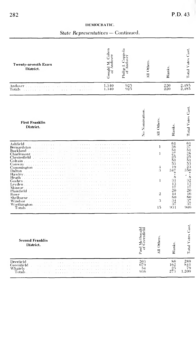| State Representatives - Continued. |
|------------------------------------|
|                                    |

| Twenty-seventh Essex<br>District.                                                                                                                                                                                                                                                                                                                                                                                                                                                                                                                                                                                                                                                                                                                                                                                                                                                                                                                          | Gerald M. Cohen<br>of Andover                                                                                                                                                                                                                                        | Philip J. Coppola<br>Andover                             | All Others.                    |                                                                          | Blanks.                                                                                                                            | Total Votes Cast.                                                                                                                |
|------------------------------------------------------------------------------------------------------------------------------------------------------------------------------------------------------------------------------------------------------------------------------------------------------------------------------------------------------------------------------------------------------------------------------------------------------------------------------------------------------------------------------------------------------------------------------------------------------------------------------------------------------------------------------------------------------------------------------------------------------------------------------------------------------------------------------------------------------------------------------------------------------------------------------------------------------------|----------------------------------------------------------------------------------------------------------------------------------------------------------------------------------------------------------------------------------------------------------------------|----------------------------------------------------------|--------------------------------|--------------------------------------------------------------------------|------------------------------------------------------------------------------------------------------------------------------------|----------------------------------------------------------------------------------------------------------------------------------|
| Andover<br>distribution.<br>$\mathbf{1}$ and $\mathbf{1}$<br>x<br>Totals<br>and a straight and<br>$\sim$ $\sim$<br>$\sim$<br>$\ddot{\phantom{a}}$<br>÷.                                                                                                                                                                                                                                                                                                                                                                                                                                                                                                                                                                                                                                                                                                                                                                                                    | 1,340<br>1,340                                                                                                                                                                                                                                                       | 925<br>925                                               |                                |                                                                          | $\frac{220}{220}$                                                                                                                  | $\frac{2.485}{2.485}$                                                                                                            |
| <b>First Franklin</b><br>District.                                                                                                                                                                                                                                                                                                                                                                                                                                                                                                                                                                                                                                                                                                                                                                                                                                                                                                                         |                                                                                                                                                                                                                                                                      |                                                          | No Nomination.                 | All Others.                                                              | Blanks.                                                                                                                            | Total Votes Cast.                                                                                                                |
| Ashfield <sub>a m</sub><br>1.1111<br>o.<br>Bernardston<br>$-2 - 1 - 1$<br>Witness and<br>Y.<br>Buckland<br>$\mathbb{R}^{\mathbb{Z}}$<br>.<br>Charlemont<br>$\sim$ $\sim$<br><b>Contract Contract</b><br>Chesterfield<br>and the analysis and<br><b>William Committee</b><br>$\mathbb{R}^n$<br><b>Contractor</b><br>Conway<br>$\textbf{Cumming}$ ton $\ldots \ldots \ldots$<br>.<br>Dalton<br><b>The contract of the Contract</b><br>contractors and<br>and a straight to<br>$\sim$ 1<br>and a state and a state<br>Monroe<br>radia da da da da da da da da da S<br><b><i><u><u>A.A. A.A. A.A.</u></u></i></b><br>comment and state of<br>Service Park<br>Rowe<br>Shelburne<br>Windsor<br>.<br>Worthington<br>The control of the control of the control of the control of the control of the control of the control of the control of the control of the control of the control of the control of the control of the control of the control<br>Totals<br>×. | 1.1.1<br>and a straight and<br>.<br>.<br>.<br>and a straight and a<br>and a straight and<br>.<br>and a strainers<br>contractors and the<br>.<br>.<br>the contract of the contract of the contract of the contract of the contract of the contract of the contract of | and a state<br>and and and analysis<br>and a state state |                                | <sup>1</sup><br>$\mathbf{l}$<br>4<br>3<br>1<br>$\overline{2}$<br>3<br>15 | 61<br>36<br>51<br>$\frac{27}{25}$<br>51<br>53<br>$\frac{19}{347}$<br>7<br>8<br>31<br>13<br>17<br>20<br>14<br>80<br>34<br>37<br>931 | 61<br>37<br>51<br>28<br>25<br>51<br>53<br>23<br>350<br>$\tilde{s}$<br>$\frac{32}{13}$<br>17<br>20<br>16<br>80<br>37<br>37<br>946 |
| Second Franklin<br>District.                                                                                                                                                                                                                                                                                                                                                                                                                                                                                                                                                                                                                                                                                                                                                                                                                                                                                                                               |                                                                                                                                                                                                                                                                      |                                                          | Paul McDonald<br>of Greenfield | All Others.                                                              | Blanks.                                                                                                                            | Total Votes Cast.                                                                                                                |
| Deerfield<br>$\sim$ 100 $\pm$<br>Greenfield<br>$1 + 1 + 1 =$<br>$\alpha$ , $\alpha$ , $\alpha$<br>Whately<br>Totals                                                                                                                                                                                                                                                                                                                                                                                                                                                                                                                                                                                                                                                                                                                                                                                                                                        |                                                                                                                                                                                                                                                                      |                                                          | 203<br>679<br>54<br>936        |                                                                          | 86<br>$\frac{162}{25}$<br>$2\tilde{7}\tilde{3}$                                                                                    | 289<br>841<br>79<br>1,209                                                                                                        |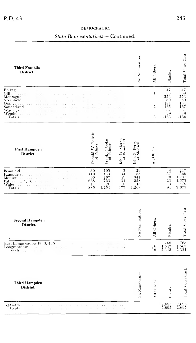| Third Franklin<br>District.                                                                                                                                                                                                                       |                                                                                                                                                                                                                                                      |                                                                                                                                                                                                                  |                                          | <b>No Nomination.</b>                         | All Others.                         | Blanks.                                                  | Total Votes Cast.                                               |
|---------------------------------------------------------------------------------------------------------------------------------------------------------------------------------------------------------------------------------------------------|------------------------------------------------------------------------------------------------------------------------------------------------------------------------------------------------------------------------------------------------------|------------------------------------------------------------------------------------------------------------------------------------------------------------------------------------------------------------------|------------------------------------------|-----------------------------------------------|-------------------------------------|----------------------------------------------------------|-----------------------------------------------------------------|
| Erving<br>contractors.<br>$\begin{array}{l} \begin{array}{c} \text{if } \alpha \\ \text{if } \alpha \leq \beta \leq \alpha \end{array} & \begin{array}{c} \alpha + \alpha \\ \text{if } \alpha + \beta \leq \alpha \end{array} \end{array}$<br>÷. | $\alpha$ is a second set of $\alpha$<br>$\epsilon = 1$<br>$\sim$<br>25<br>$\label{eq:1.1} \begin{array}{cccccccccc} \dot{\chi} & \dot{\omega} & \dot{\omega} & \dot{\omega} & \dot{\omega} & \dot{\omega} & \dot{\omega} & \dot{\omega} \end{array}$ | $\begin{array}{c} \begin{array}{c} \text{ } & \text{ } \\ \text{ } & \text{ } \\ \text{ } & \text{ } \\ \text{ } & \text{ } \\ \text{ } & \text{ } \end{array} \end{array}$<br>$\sim 100$<br>William<br>Victoria | $\sim 10^{-10}$                          |                                               | $\mathbf{I}$<br>$\overline{2}$<br>3 | 47<br>58<br>553<br>80<br>184<br>165<br>37<br>39<br>1,163 | 47<br>59<br>553<br>$\frac{80}{184}$<br>167<br>37<br>39<br>1,166 |
| <b>First Hampden</b><br>District.                                                                                                                                                                                                                 | Donald W. Belisle<br>of Palmer                                                                                                                                                                                                                       | Frank P. Golas<br>of Palmer                                                                                                                                                                                      | John D. Moran<br>of Brimfield            | John B. Perry<br>of Monson                    | All Others.                         |                                                          |                                                                 |
| Brimfield<br>Hampden<br>Monson<br>Palmer Pt. A, B, D<br>Wales<br>Totals                                                                                                                                                                           | 30<br>110<br>60<br>668<br>17<br>885                                                                                                                                                                                                                  | 105<br>133<br>$\frac{267}{723}$<br>1,254                                                                                                                                                                         | 45<br>34<br>49<br>31<br>$\frac{18}{177}$ | $\frac{29}{55}$<br>841<br>228<br>115<br>1,268 |                                     | 8<br>37<br>20<br>23<br>-3<br>91                          | $\frac{217}{369}$<br>1,237<br>1,673<br>179<br>3,675             |
| Second Hampden<br>District.<br>1                                                                                                                                                                                                                  |                                                                                                                                                                                                                                                      |                                                                                                                                                                                                                  |                                          | <b>No Nomination.</b>                         | All Others.                         | Blanks.                                                  | Total Votes Cast.                                               |
| East Longmeadow Pt 3, 4, 5.<br>$\chi$<br>$\alpha$                                                                                                                                                                                                 | $\mathcal{L}^{\mathcal{L}}$                                                                                                                                                                                                                          | $\lambda = -1$<br>The Control                                                                                                                                                                                    | ma :<br>$\lambda$                        |                                               | 16<br>16                            | 768<br>1,547<br>2,315                                    | 768<br>1,563<br>2,331                                           |
| Third Hampden<br>District.                                                                                                                                                                                                                        |                                                                                                                                                                                                                                                      |                                                                                                                                                                                                                  |                                          | <b>No Nomination</b>                          | All Others.                         | Blanks.                                                  | <b>Total Votes Cast.</b>                                        |
| Agawam<br>a constitute condition.<br>Totals<br>$\sim 10-10$                                                                                                                                                                                       | $\chi = \pm 1$                                                                                                                                                                                                                                       | $\sim 1000$ km s $^{-1}$<br>$\alpha$ , $\alpha$ , $\alpha$                                                                                                                                                       |                                          |                                               |                                     | 2,695<br>2,695                                           | 2,695<br>2,695                                                  |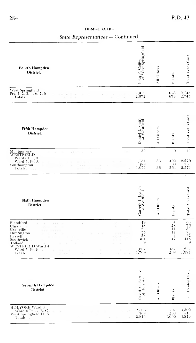| Fourth Hampden<br>District.                                                                                                                                                                                                                                                                                                                                                                                                                                                                                                                                                                                                                | John F. Coffey<br>of West Springfield                                                | All Others. | Blanks.                                                           | Total Votes Cast.                                                                          |
|--------------------------------------------------------------------------------------------------------------------------------------------------------------------------------------------------------------------------------------------------------------------------------------------------------------------------------------------------------------------------------------------------------------------------------------------------------------------------------------------------------------------------------------------------------------------------------------------------------------------------------------------|--------------------------------------------------------------------------------------|-------------|-------------------------------------------------------------------|--------------------------------------------------------------------------------------------|
| West Springfield<br>Pts., I, 2, 3, 4, 6, 7, 8<br>$\mathcal{N}=\mathcal{N}$<br>$\mathcal{X}(\mathcal{X})$ . In this case,<br>$\chi_1,\ldots,\chi_{N}$<br>$\chi$<br>$\mathrm{Totals}$<br><b>Contractor</b><br>$\sim$<br>÷<br>$\propto$                                                                                                                                                                                                                                                                                                                                                                                                       | $\frac{2,072}{2,072}$                                                                |             | $\frac{673}{673}$                                                 | $\frac{2,745}{2,745}$                                                                      |
| Fifth Hampden<br>District.                                                                                                                                                                                                                                                                                                                                                                                                                                                                                                                                                                                                                 | Daniel J. Smith<br>of Westfield                                                      | All Others. | Blanks.                                                           | Total Votes Cast.                                                                          |
| Montgomery<br>WESTFIELD<br>Ward 5, Pt. A<br>Ward 5, Pt. A<br>Southampton<br>l,<br>$\bar{z}$<br>$\sim$ $\times$ $\sim$<br>$\bar{\psi}$ .<br>$\chi$<br>$\mathcal{X}^{\mathcal{A}}$<br>$\sim$ 1 $\sim$<br>$\epsilon$ - $\pm$ - $\pm$<br>$\sim$ $\sim$<br>$\lambda$<br>ř.<br>$\begin{array}{ccccccccc} x&\bullet &\bullet & x &\stackrel{1}{\to} & x &\stackrel{1}{\to} & \bullet & & \bullet & & \bullet \\ \bullet &\bullet &\bullet &\bullet &\bullet & & & & \bullet & & \bullet \\ &\bullet &\bullet &\bullet &\bullet & & & & & \bullet & \bullet \\ &\bullet &\bullet &\bullet & & & & & & & \bullet \end{array}$<br>$\alpha$<br>Totals | 32<br>$\begin{array}{c} 1.751 \\ -188 \\ 1.971 \end{array}$                          | 36<br>36    | 9<br>$\substack{492 \\ -63}$<br>564                               | 41<br>$\frac{2,279}{251}$<br>$2,571$                                                       |
| Sixth Hampden<br>District.                                                                                                                                                                                                                                                                                                                                                                                                                                                                                                                                                                                                                 | Garreth J. Lynch<br>of Westfield                                                     | All Others. | Blanks.                                                           | Total Votes Cast.                                                                          |
| Blandford<br>Chester<br>×<br>Granville<br>X<br>$\times$ $-$<br>Huntington.<br>X.<br>$\frac{1}{2}$<br>Russell <sup>"</sup><br>j.<br>$\mathcal{C}(\mathcal{C})=\mathcal{C}$<br>Y.<br>l,<br>Southwick<br>Tolland<br>$\bar{z}$<br>$\lambda$<br><b>WESTFIELD Ward 4</b><br>Ward 5, Pt. $B = 1$<br>$\lambda$<br>Ŷ,<br>$\lambda$<br>$\sim$ $\sim$<br>Totals<br>Ì.<br>$\ddotsc$                                                                                                                                                                                                                                                                    | -19<br>$\overline{48}$<br>$\frac{33}{55}$<br>58<br>401<br>9<br>$\frac{1,067}{1,709}$ |             | $\cdot$<br>$\frac{28}{11}$<br>17<br>$\cdot 4$<br>47<br>157<br>268 | $\begin{array}{r} 53 \\ -16 \\ -16 \\ -16 \\ 48 \\ 9 \end{array}$<br>$\frac{1,224}{1,977}$ |
| Seventh Hampden<br>District.                                                                                                                                                                                                                                                                                                                                                                                                                                                                                                                                                                                                               | David M. Bartley<br>of Holyoke                                                       | All Others. | Blanks.                                                           | Total Votes Cast.                                                                          |
| HOLYOKE Ward 3<br>Ward 6 Pt. A, B, C<br>$\lambda$ .<br>$\sim$ 1.<br>West Springfield Pt. 5<br>Ŷ,<br>Ŷ.<br>Ŷ.<br>Totals<br>$\sim$<br>contract of the                                                                                                                                                                                                                                                                                                                                                                                                                                                                                        | 2,505<br>308<br>2.813                                                                |             | $^{797}_{203}$<br>1.000                                           | $\begin{array}{c} 3,302 \\ 511 \\ 3,813 \end{array}$                                       |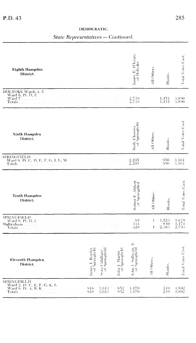| <b>Eighth Hampden</b><br>District.                                                                     |                      |                                                                                                                  |                                                                                                                        |                                  | James E. O'Leary<br>of Holyoke          | All Others.         | Blanks.                    | Total Votes Cast.       |
|--------------------------------------------------------------------------------------------------------|----------------------|------------------------------------------------------------------------------------------------------------------|------------------------------------------------------------------------------------------------------------------------|----------------------------------|-----------------------------------------|---------------------|----------------------------|-------------------------|
| HOLYOKE Wards 4, 5<br>Ward 6, Pt. D, E<br>Ward $7$ .<br>Totals                                         |                      | $\label{eq:1.1} \mathcal{A}(\mathbf{r})=\mathcal{A}(\mathbf{r})=\mathcal{A}(\mathbf{r})=\mathcal{A}(\mathbf{r})$ |                                                                                                                        | $\frac{1}{2}$ .                  | $\frac{2,739}{2,739}$                   |                     | 1,151<br>1,151             | 3,890<br>3,890          |
| Ninth Hampden<br>District.                                                                             |                      |                                                                                                                  |                                                                                                                        |                                  | of Springfield<br>Rudy Chmura           | All Others.         | Blanks.                    | Total Votes Cast.       |
| SPRINGFIELD<br>Ward 8, Pt. C, D, E, F, G, J, L, M                                                      | $\ddot{\phantom{a}}$ |                                                                                                                  |                                                                                                                        | $\bar{t}$                        | $\frac{2,205}{2,205}$                   |                     | 956<br>956                 | 3.161<br>3,161          |
| <b>Tenth Hampden</b><br>District.                                                                      |                      |                                                                                                                  |                                                                                                                        |                                  | Robert P. Abbott<br>of Springifled      | All Others.         | Blanks.                    | Total Votes Cast.       |
| <b>SPRINGFIELD</b><br>Ward 8, Pt. 11, 1<br>$\sim$<br>Wilbraham<br>Totals                               |                      |                                                                                                                  | $\begin{array}{ccccc} 0 & & 0 & & & 0 \\ & & \ddots & & \vdots & \vdots \\ & & & 0 & & \frac{1}{\sqrt{2}} \end{array}$ |                                  | 95<br>334<br>429                        | $\mathbf{I}$<br>1   | 1,523<br>$8 - 10$<br>2,363 | 1,619<br>1,174<br>2,793 |
| <b>Eleventh Hampden</b><br>District.                                                                   |                      | James J. Bowler<br>of Springfield                                                                                | Sean Cahillane<br>of Springfield                                                                                       | John J. Martin<br>of Springfield | John J. Sullivan, Jr.<br>of Springfield | <b>All Others</b> , | Blanks.                    | Total Votes Cast.       |
| SPRINGFIELD<br>Ward 2, Pt. C, E, F, G, K, L<br>Ward 8, Pt. A, B, K<br>$Totals =$<br><b>Carl County</b> |                      | 918<br>918                                                                                                       | 1,613<br>1,613                                                                                                         | $852 \n852$                      | 1,170<br>1,170                          |                     | $\frac{249}{249}$          | 4,802<br>4,802          |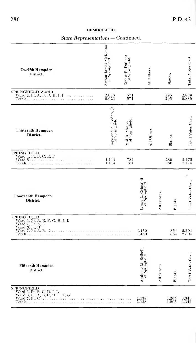| Twelfth Hampden<br>District.                                                                            | Arthur James McKenna<br>of Springfield   | Ernest E. DuPont<br>of Springfield | All Others.                           |             | Blanks.               | Total Votes Cast.     |
|---------------------------------------------------------------------------------------------------------|------------------------------------------|------------------------------------|---------------------------------------|-------------|-----------------------|-----------------------|
| SPRINGFIELD Ward 1<br>Ward 2, Pt. A, B, D, H, I, J                                                      | $\substack{2,023 \\ 2,023}$              | $\substack{571 \ 571}$             |                                       |             | $\frac{295}{295}$     | 2,889<br>2,889        |
| <b>Thirteenth Hampden</b><br>District.                                                                  | Raymond A. Jordan, Jr.<br>of Springfield | Paul R. Mason<br>of Springfield    | All Others.                           |             | Blanks.               | Total Votes Cast.     |
|                                                                                                         | $^{1,114}_{1,114}$                       | $\substack{781}{781}$              |                                       |             | $\substack{280\\280}$ | $\frac{2,175}{2,175}$ |
| Fourteenth Hampden<br>District.                                                                         |                                          |                                    | James L. Grimaldi<br>of Springfield   | All Others. | Blanks.               | Total Votes Cast.     |
| SPRINGFIELD<br>Ward 3, Pt. A, E, F, G, H, J, K<br>Ward 4, Pt. A, D<br>Ward 6, Pt. H                     |                                          |                                    | 1,450<br>1,450                        |             | $\frac{854}{854}$     | 2,304<br>2,304        |
| Fifteenth Hampden<br>District.                                                                          |                                          |                                    | Anthony M. Scibelli<br>of Springfield | All Others. | Blanks.               | Total Votes Cast.     |
| SPRINGFIELD<br>Ward 3, Pt. B, C, D, I, L,<br>Ward 6, Pt. A, B, C, D, E, F, G<br>Ward 7, Pt. C<br>Totals |                                          |                                    | $\frac{2,138}{2,138}$                 |             | 1,205<br>1,205        | 3,343<br>3,343        |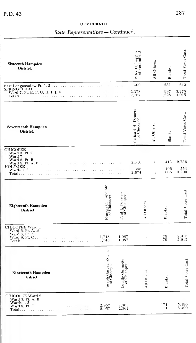| Sixteenth Hampden<br>District.                                            |                                       |                                 | Peter H. Lappin<br>of Springfield |               | All Others. | Blanks.             | Total Votes Cast.                                    |
|---------------------------------------------------------------------------|---------------------------------------|---------------------------------|-----------------------------------|---------------|-------------|---------------------|------------------------------------------------------|
| East Longmeadow Pt. 1, 2                                                  |                                       | and a state of                  | 409<br>$\frac{2,378}{2,787}$      |               |             | 231<br>997<br>1,228 | 640<br>$\begin{array}{c} 3,375 \\ 4,015 \end{array}$ |
| Seventeenth Hampden<br>District.                                          |                                       |                                 | Richard H. Demers<br>of Chicopee  | All Others.   |             | Blanks.             | Total Votes Cast.                                    |
| <b>CHICOPEE</b><br>Ward 3, Pt. C<br>Ward 7<br>Ward 8, Pt. B<br>Wards 1, 2 |                                       |                                 | 2,316<br>358<br>2,674             |               | 8<br>8      | 412<br>196<br>608   | 2,736<br>$\frac{554}{3,290}$                         |
| <b>Eighteenth Hampden</b><br>District.                                    | Francis C. Lapointe<br>of Chicope     | Paul J. Demears<br>of Chicopee  |                                   | All Others.   |             | Blanks.             | Total Votes Cast.                                    |
| CHICOPEE Ward 1<br>Ward 6, Pt. A, B<br>Ward 8, Pt. A                      | $\frac{1,748}{1,748}$                 | 1,087<br>1,087                  |                                   | $\frac{1}{1}$ |             | $^{79}_{79}$        | 2,915<br>2,915                                       |
| Nineteenth Hampden<br>District.                                           | Joseph Garczynski, Jr.<br>of Chicopee | Lucille Ouinette<br>of Chicopee |                                   | All Others.   |             | Blanks.             | Total Votes Cast.                                    |
| CHICOPEE Ward 2<br>Ward 3, Pt. A, B<br>Wards 4, 5<br>.<br>Totals          | 2,957<br>2,957                        | 2,362<br>2,362                  |                                   |               |             | $\frac{171}{171}$   | 5,490<br>5,490                                       |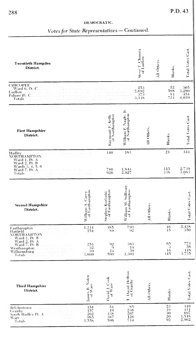| Votes for State Representatives - Continued.                                                                       |                                                                                                                                                                                                                                              |                                                                        |                                    |                                              |                                     |             |                                             |                                                                    |  |  |
|--------------------------------------------------------------------------------------------------------------------|----------------------------------------------------------------------------------------------------------------------------------------------------------------------------------------------------------------------------------------------|------------------------------------------------------------------------|------------------------------------|----------------------------------------------|-------------------------------------|-------------|---------------------------------------------|--------------------------------------------------------------------|--|--|
| <b>Twentieth Hampden</b><br>District.                                                                              |                                                                                                                                                                                                                                              |                                                                        |                                    |                                              | Steve T. Chmura<br>of Ludlow        | All Others. | Blanks.                                     | Total Votes Cast.                                                  |  |  |
| <b>CHICOPEE</b><br>Ward $6,$ Pt. $C_{++}$<br>50<br>Ludlow<br>Ludlow<br>Palmer Pt. C.<br>Totals                     | $\frac{1}{2}$ , $\frac{1}{2}$ , $\frac{1}{2}$ , $\frac{1}{2}$ , $\frac{1}{2}$ , $\frac{1}{2}$ , $\frac{1}{2}$ , $\frac{1}{2}$ , $\frac{1}{2}$ , $\frac{1}{2}$ , $\frac{1}{2}$ , $\frac{1}{2}$ , $\frac{1}{2}$ ,<br>$\mathbf{r} = \mathbf{r}$ | $\lambda$ . If $\lambda$<br>$\sim$ $\sim$                              | $\rightarrow$<br>$\sim 10^{-1}$    |                                              | 253<br>$\frac{2,692}{373}$<br>3,348 |             | 52<br>588<br>81<br>721                      | 305<br>3,280<br>454<br>4,039                                       |  |  |
| <b>First Hampshire</b><br>District.                                                                                |                                                                                                                                                                                                                                              |                                                                        | Raymond F. Kelly<br>of Northampton | William P. Nagle, Jr.<br>of Northampton      | All Others.                         |             | Blanks.                                     | Total Votes Cast                                                   |  |  |
| Hadley<br>NORTHAMPTON<br>Ward 1, Pt. A<br>Ward 2, Pt. B<br>Wards 3, 4, 5, 6<br>Ward 7, Pt. A.                      | the contract of the contract of<br>O.<br>$\sim 10^{-1}$                                                                                                                                                                                      |                                                                        | 140<br>780<br>920                  | 183<br>$\substack{1.844 \\ 2.027}$           |                                     |             | 21<br>115<br>136                            | 344<br>2,739<br>3,083                                              |  |  |
| <b>Second Hampshire</b><br>District.                                                                               |                                                                                                                                                                                                                                              | William A. Carey<br>of Easthampton                                     | of Easthampton<br>Stephen Kozloski | William M. Sullivan<br>of Easthampton        | All Others.                         |             | Blanks.                                     | Total Votes Cast.                                                  |  |  |
| Easthampton<br>Hatfield<br>NORTHAMPTON<br>Ward 1, Pt. B                                                            | $\sim$                                                                                                                                                                                                                                       | 1,214<br>154                                                           | 385<br>89                          | 793<br>92                                    |                                     |             | 46<br>15                                    | $\frac{2,438}{350}$                                                |  |  |
| Ward 2, Pt. A<br>Ward 7, Pt. B<br>Westhampton<br>Williamsburg<br>Totals                                            | $\sim$ $  \sim$                                                                                                                                                                                                                              | 251<br>32<br>39<br>1,690                                               | 92<br>9<br>24<br>599               | 363<br>$^{14}$<br>39<br>1,301                |                                     |             | 65<br>3<br>16<br>145                        | $^{771}_{58}$<br>$\frac{118}{3,735}$                               |  |  |
| <b>Third Hampshire</b><br>District.                                                                                |                                                                                                                                                                                                                                              | E<br>James R. Nol.<br>of Ware                                          | David J. Co<br>of Ware             | T. David Heffron<br>of Granby                | All Others.                         |             | Blanks,                                     | Cast.<br><b>Total Votes</b>                                        |  |  |
| Belchertown<br>Granby<br>South Hadley Pt. A<br>Ware<br>$\alpha$ , $\alpha$ , $\alpha$<br>$Totals$<br>$\sim$ $\sim$ | $\sim$ 1                                                                                                                                                                                                                                     | 154<br>$\begin{array}{c} 157 \\[-4pt] 262 \end{array}$<br>985<br>1,558 | $-54$<br>19<br>138<br>387<br>598   | 85<br>$\frac{236}{267}$<br>$\frac{126}{714}$ |                                     |             | $^{23}_{19}$<br>30<br>20<br>$\overline{92}$ | $\begin{array}{r} 316 \\ 431 \\ 697 \\ 1,518 \\ 2,962 \end{array}$ |  |  |

## DEMOCRATIC. Votesfor State Representatives — Continued.

 $\overline{a}$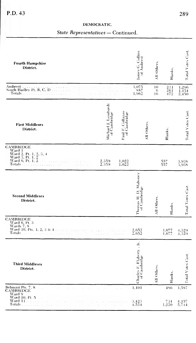#### James G. Collins<br>of Amberst Total Votes Cast. Fourth Hampshire All Others. District. Blanks.  $\frac{1,296}{1,154}$ <br> $2,450$ Amherst 1 1,075<br>South Hadley Pt. B, C, D 887<br>Totals 1,962  $\frac{10}{6}$  $211$  $\frac{561}{472}$  $16$ Michael J. Lombardi<br>of Cambridge Paul F. Collazzo<br>of Cambridge Total Votes Cast. All Others. **First Middlesex** District. **Blanks** CAMBRIDGE<br>
Ward 1<br>
Ward 2, Pt. 1, 2, 3, 4<br>
Ward 3, Pt. 1, 2<br>
Ward 6, Pt. 1, 2<br>
Totals 2,359<br>2,359  $\frac{1,022}{1,022}$  $\frac{557}{557}$ 3,938<br>3,938 Totals Thomas H. D. Mahoney<br>of Cambridge Total Votes Cast. **Second Middlesex** All Others. District. Blanks. CAMBRIDGE<br>Ward 6, Pt. 3<br>Wards 7, 8<br>Ward 10, Pts. 1, 2, 3 & 4  $\frac{2}{2},652$  $\frac{1,677}{1,677}$ 4,329<br>4,329  $\epsilon \rightarrow \infty$ Totals. and a straight and  $\epsilon$  ,  $\epsilon$ Charles F. Flaherty , Jr.<br>of Cambridge Total Votes Cast. **Third Middlesex** All Others. District. Blanks. Belmont Pts. 7, 8<br>CAMBRIDGE<br>Ward 9<br>Ward 10, Pt. 5<br>Ward 11. 1,101 486 1,587  $3,423$ <br> $4,524$  $\frac{734}{1,220}$  $\frac{4,157}{5,744}$ ţ.  $\bar{z}$  $\mathbf{1} \times \mathbf{X} \times \mathbf{X}$ Totals.

## DEMOCRATIC. State Representatives - Continued.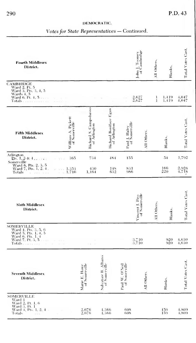| <b>Fourth Middlesex</b><br>District.                                                                          |                                                       |                                                    |                                       |                                   | John J. Toomey<br>of Cambridge                | All Others.   | Blanks.               | Total Votes Cast.           |
|---------------------------------------------------------------------------------------------------------------|-------------------------------------------------------|----------------------------------------------------|---------------------------------------|-----------------------------------|-----------------------------------------------|---------------|-----------------------|-----------------------------|
| CAMBRIDGE<br>Ward 2, Pt. 5<br>Ward 3, Pts. 3, 4, 5<br>Wards 4, 5<br>Ward 6, Pt. 4, 5<br>Totals                | $\mathbb{E}_{\mathbb{P}^1} \mathbb{E}_{\mathbb{P}^1}$ |                                                    |                                       |                                   | $\frac{2,627}{2,627}$                         | $\frac{1}{1}$ | $\frac{1,419}{1,419}$ | $\substack{4,047 \\ 4,047}$ |
| Fifth Middlesex<br>District.                                                                                  | William A. Pickett<br>of Somerville                   | Richard S. Campobasso<br>of Arlington              | Richard Boniface Egan<br>of Arlington |                                   | Paul J. Haley<br>of Somerville<br>All Others. |               | Blanks.               | Total Votes Cast.           |
|                                                                                                               | 365<br>$\sim$ .                                       | 734                                                | 484                                   |                                   | 155                                           |               | 54                    | 1,792                       |
| Arlington<br>Pts. 1, 3 & 4<br>Somerville<br>Sward 6, Pts. 2, 3, 5<br>Ward 7, Pts. 1, 2, 4<br>Totals           | $\frac{1,351}{1,716}$<br>ł                            | 430<br>1,164                                       | 148<br>632                            |                                   | 831<br>986                                    |               | $\frac{166}{220}$     | $\frac{2,926}{4,718}$       |
| Sixth Middlesex<br>District.                                                                                  |                                                       |                                                    |                                       |                                   | Vincent J. Piro<br>of Somerville              | All Others.   | Blanks.               | Total Votes Cast.           |
| SOMERVILLE<br>Ward 4, Pts. 3, 5, 6<br>Ward 5, Pts. 1, 4, 5<br>Ward 6, Pts. 1, 4<br>Ward 7, Pt. 3, 5<br>Totals | $\chi$                                                | $\sim 100$<br>$\mathcal{C} \leftarrow \mathcal{C}$ |                                       |                                   | $\frac{3,710}{3,710}$                         |               | 920<br>920            | 4,630<br>4,630              |
| Seventh Middlesex<br>District.<br><b>SOMERVILLE</b>                                                           |                                                       | of Somerville<br>Marie E. Howe                     | Salvatore R. Albano<br>of Somerville  | Somerville<br>Paul W. O'Neil<br>ह | All Others.                                   |               | Blanks.               | Total Votes Cast.           |

 $\begin{array}{c} 2,676 \\ 2,676 \end{array}$ 

 $^{1,366}_{1,366}$ 

 $\frac{608}{608}$ 

 $^{4,809}_{4,809}$ 

 $\substack{159 \\ 159}$ 

DEMOCRATIC. Votes for State Representatives — Continued.

Ward 1<br>Ward 2, Pt. 1, 6<br>Ward 3, Pt. 1<br>Ward 4, Pts. 1, 2, 4<br>Totals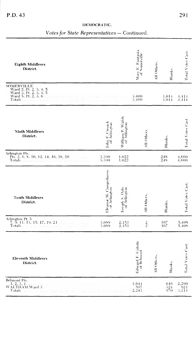1, 2, 3, 4<br>WALTHAM Ward 3

Totals . . . . . . . .

#### DEMOCRATIC.

#### Total Votes Cast.  $\frac{1}{2}$ All Others. Eighth Middlesex District. Blanks, SOMERYILLE Ward 2. Pt. 2. 3, 4. <sup>5</sup> Ward 3, Pt. 2, 3, 4, <sup>5</sup> Ward 5, Pt. 2, 3, <sup>6</sup> . . Totals 3,400 3,400  $\frac{1,014}{1,014}$ 1.014 4,414 4.4 14 Total Votes Cast s 2 All Others. Ninth Middlesex CE<br>EX<br>C District. Blanks. Arlington Pts. Pts. 2, 6, 8, 10, 12, 14, 16, 18, 20 3,390  $\frac{1,022}{1,022}$  $\frac{248}{248}$ 4,660 4,660 Eleanor M. Campobasso<br>of Arlington Total Votes Cast. Joseph S. Daly<br>of Arlington All Others. **Tenth Middlesex** District. Blanks. Arlington Pt. 5<br>
7. 9. 11, 13, 15, 17, 19, 21<br>
Totals  $\frac{2,151}{2,151}$ 3,088  $\frac{2}{2}$  $^{167}_{167}$ 5,408<br>5,408 Edward F. Galotti<br>of Belmont **Total Votes Cast MILOthers Eleventh Middlesex** District. Blanks. Belmont Pts.

 $\overline{a}$ 

 $\frac{1.644}{597}$ <br>2,241

2.290

921  $3.211$ 

646

 $\frac{324}{970}$ 

### Votes for State Representatives — Continued.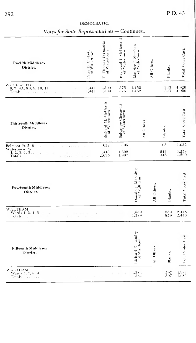| <b>Twelfth Middlesex</b><br>District.                            |                                                                                                                                                                                                                                                                                                                                                                                  | Peter D. Corbett<br>of Watertown | T. Thomas D'Onofrio<br>of Watertown | Raymond J. McDonald<br>of Watertown  | Maurice J. Sheehan<br>of Watertown | All Others. | Blanks,                                          | Total Votes Cast.       |
|------------------------------------------------------------------|----------------------------------------------------------------------------------------------------------------------------------------------------------------------------------------------------------------------------------------------------------------------------------------------------------------------------------------------------------------------------------|----------------------------------|-------------------------------------|--------------------------------------|------------------------------------|-------------|--------------------------------------------------|-------------------------|
| Watertown Pts.<br>6, 7, 8A, 8B, 9, 10, 11                        | $\mathcal{F}^{\text{max}}_{\text{max}}$                                                                                                                                                                                                                                                                                                                                          | 1,441<br>1,441                   | 1,309<br>1,309                      | $\frac{375}{375}$                    | $^{1,452}_{1,452}$                 |             | 343<br>343                                       | 4,920<br>4,920          |
| <b>Thirteenth Middlesex</b><br>District.                         |                                                                                                                                                                                                                                                                                                                                                                                  |                                  | Richard M. McGrath<br>of Watertown  | Salvatore Ciccarelli<br>of Watertown | All Others,                        |             | Blanks.                                          | Total Votes Cast.       |
| Belmont Pt. 5, 6                                                 | $\frac{1}{2} \left( \begin{array}{ccc} 1 & 0 & 0 \\ 0 & 0 & 0 \\ 0 & 0 & 0 \\ 0 & 0 & 0 \\ 0 & 0 & 0 \\ 0 & 0 & 0 \\ 0 & 0 & 0 \\ 0 & 0 & 0 \\ 0 & 0 & 0 \\ 0 & 0 & 0 \\ 0 & 0 & 0 \\ 0 & 0 & 0 & 0 \\ 0 & 0 & 0 & 0 \\ 0 & 0 & 0 & 0 \\ 0 & 0 & 0 & 0 & 0 \\ 0 & 0 & 0 & 0 & 0 \\ 0 & 0 & 0 & 0 & 0 \\ 0 & 0 & 0 & 0 & 0 \\ 0 & 0 & 0$<br>المتحدث المتعرفين.<br>من من المتعرفين |                                  | 622<br>$\frac{1,413}{2,035}$        | 305<br>1,602<br>1,907                |                                    |             | 105<br>$\begin{array}{c} 243 \\ 348 \end{array}$ | 1,032<br>3,258<br>4,290 |
| Fourteenth Middlesex<br>District.                                |                                                                                                                                                                                                                                                                                                                                                                                  |                                  |                                     |                                      | Donald J. Manning<br>of Waltham    | All Others. | Blanks.                                          | Total Votes Cast.       |
| <b>WALTHAM</b><br>Wards 1, 2, 4, 6<br>Totals                     | $\label{eq:3.1} \frac{1}{1-\alpha} \left( \begin{array}{cc} \alpha \alpha & \alpha \beta & \alpha & \alpha \\ \alpha & \alpha & \alpha & \alpha \end{array} \right) \, ,$                                                                                                                                                                                                        |                                  | $\epsilon$                          | $\mathcal{N}$ .                      | $\frac{1,589}{1,589}$              |             | 859<br>859                                       | $2,448$<br>$2,448$      |
| <b>Fifteenth Middlesex</b><br>District.                          |                                                                                                                                                                                                                                                                                                                                                                                  |                                  |                                     |                                      | Richard E. Landry<br>of Waltham    | All Others. | Blanks.                                          | Total Votes Cast.       |
| <b>WALTHAM</b><br>Wards 5, 7, 8, 9.<br>Totals<br><b>Services</b> | $\sim$<br>÷.                                                                                                                                                                                                                                                                                                                                                                     |                                  | $\mathcal{X}=\mathcal{X}$           | All the con-<br>$\frac{1}{2}$        | 1,384<br>1,384                     |             | 597<br>597                                       | 1,984<br>1,981          |

# Votes for State Representatives - Continued.